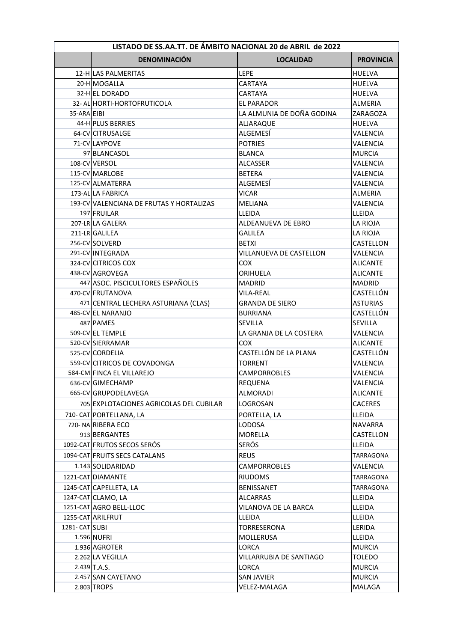| LISTADO DE SS.AA.TT. DE ÁMBITO NACIONAL 20 de ABRIL de 2022 |                                          |                           |                  |
|-------------------------------------------------------------|------------------------------------------|---------------------------|------------------|
|                                                             | <b>DENOMINACIÓN</b>                      | <b>LOCALIDAD</b>          | <b>PROVINCIA</b> |
|                                                             | 12-H LAS PALMERITAS                      | <b>LEPE</b>               | <b>HUELVA</b>    |
|                                                             | 20-H MOGALLA                             | CARTAYA                   | HUELVA           |
|                                                             | 32-HIEL DORADO                           | CARTAYA                   | HUELVA           |
|                                                             | 32- AL HORTI-HORTOFRUTICOLA              | EL PARADOR                | ALMERIA          |
| 35-ARA EIBI                                                 |                                          | LA ALMUNIA DE DOÑA GODINA | ZARAGOZA         |
|                                                             | 44-H PLUS BERRIES                        | ALJARAQUE                 | <b>HUELVA</b>    |
|                                                             | 64-CV CITRUSALGE                         | ALGEMESÍ                  | VALENCIA         |
|                                                             | 71-CV LAYPOVE                            | <b>POTRIES</b>            | VALENCIA         |
|                                                             | 97 BLANCASOL                             | <b>BLANCA</b>             | <b>MURCIA</b>    |
|                                                             | 108-CV VERSOL                            | ALCASSER                  | VALENCIA         |
|                                                             | 115-CV MARLOBE                           | <b>BETERA</b>             | VALENCIA         |
|                                                             | 125-CV ALMATERRA                         | ALGEMESÍ                  | <b>VALENCIA</b>  |
|                                                             | 173-AL LA FABRICA                        | <b>VICAR</b>              | ALMERIA          |
|                                                             | 193-CV VALENCIANA DE FRUTAS Y HORTALIZAS | MELIANA                   | VALENCIA         |
|                                                             | 197 FRUILAR                              | LLEIDA                    | LLEIDA           |
|                                                             | 207-LR LA GALERA                         | ALDEANUEVA DE EBRO        | LA RIOJA         |
|                                                             | 211-LR GALILEA                           | <b>GALILEA</b>            | LA RIOJA         |
|                                                             | 256-CV SOLVERD                           | <b>BETXI</b>              | CASTELLON        |
|                                                             | 291-CV INTEGRADA                         | VILLANUEVA DE CASTELLON   | VALENCIA         |
|                                                             | 324-CV CITRICOS COX                      | COX                       | ALICANTE         |
|                                                             | 438-CV AGROVEGA                          | ORIHUELA                  | ALICANTE         |
|                                                             | 447 ASOC. PISCICULTORES ESPAÑOLES        | MADRID                    | MADRID           |
|                                                             | 470-CV FRUTANOVA                         | <b>VILA-REAL</b>          | CASTELLÓN        |
|                                                             | 471 CENTRAL LECHERA ASTURIANA (CLAS)     | GRANDA DE SIERO           | <b>ASTURIAS</b>  |
|                                                             | 485-CV EL NARANJO                        | <b>BURRIANA</b>           | CASTELLÓN        |
|                                                             | 487 PAMES                                | SEVILLA                   | SEVILLA          |
|                                                             | 509-CV EL TEMPLE                         | LA GRANJA DE LA COSTERA   | VALENCIA         |
|                                                             | 520-CV SIERRAMAR                         | <b>COX</b>                | <b>ALICANTE</b>  |
|                                                             | 525-CV CORDELIA                          | CASTELLÓN DE LA PLANA     | CASTELLÓN        |
|                                                             | 559-CV CITRICOS DE COVADONGA             | <b>TORRENT</b>            | VALENCIA         |
|                                                             | 584-CM FINCA EL VILLAREJO                | <b>CAMPORROBLES</b>       | VALENCIA         |
|                                                             | 636-CV GIMECHAMP                         | <b>REQUENA</b>            | VALENCIA         |
|                                                             | 665-CV GRUPODELAVEGA                     | ALMORADI                  | <b>ALICANTE</b>  |
|                                                             | 705 EXPLOTACIONES AGRICOLAS DEL CUBILAR  | LOGROSAN                  | <b>CACERES</b>   |
|                                                             | 710- CAT PORTELLANA, LA                  | PORTELLA, LA              | LLEIDA           |
|                                                             | 720-NA RIBERA ECO                        | <b>LODOSA</b>             | NAVARRA          |
|                                                             | 913 BERGANTES                            | MORELLA                   | CASTELLON        |
|                                                             | 1092-CAT FRUTOS SECOS SERÓS              | SERÓS                     | <b>LLEIDA</b>    |
|                                                             | 1094-CAT FRUITS SECS CATALANS            | <b>REUS</b>               | TARRAGONA        |
|                                                             | 1.143 SOLIDARIDAD                        | <b>CAMPORROBLES</b>       | VALENCIA         |
|                                                             | 1221-CAT DIAMANTE                        | <b>RIUDOMS</b>            | TARRAGONA        |
|                                                             | 1245-CAT CAPELLETA, LA                   | BENISSANET                | TARRAGONA        |
|                                                             | 1247-CAT CLAMO, LA                       | <b>ALCARRAS</b>           | LLEIDA           |
|                                                             | 1251-CAT AGRO BELL-LLOC                  | VILANOVA DE LA BARCA      | LLEIDA           |
|                                                             | 1255-CAT ARILFRUT                        | LLEIDA                    | LLEIDA           |
| 1281- CAT SUBI                                              |                                          | TORRESERONA               | LERIDA           |
|                                                             | <b>1.596 NUFRI</b>                       | MOLLERUSA                 | LLEIDA           |
|                                                             | 1.936 AGROTER                            | LORCA                     | <b>MURCIA</b>    |
|                                                             | 2.262 LA VEGILLA                         | VILLARRUBIA DE SANTIAGO   | <b>TOLEDO</b>    |
|                                                             | 2.439 T.A.S.                             | <b>LORCA</b>              | <b>MURCIA</b>    |
|                                                             | 2.457 SAN CAYETANO                       | SAN JAVIER                | <b>MURCIA</b>    |
|                                                             | 2.803 TROPS                              | VELEZ-MALAGA              | MALAGA           |
|                                                             |                                          |                           |                  |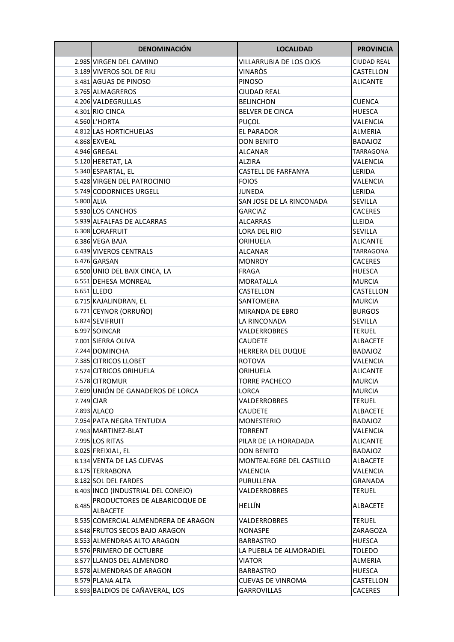|            | <b>DENOMINACIÓN</b>                              | <b>LOCALIDAD</b>           | <b>PROVINCIA</b> |
|------------|--------------------------------------------------|----------------------------|------------------|
|            | 2.985 VIRGEN DEL CAMINO                          | VILLARRUBIA DE LOS OJOS    | CIUDAD REAL      |
|            | 3.189 VIVEROS SOL DE RIU                         | VINARÒS                    | CASTELLON        |
|            | 3.481 AGUAS DE PINOSO                            | <b>PINOSO</b>              | <b>ALICANTE</b>  |
|            | 3.765 ALMAGREROS                                 | <b>CIUDAD REAL</b>         |                  |
|            | 4.206 VALDEGRULLAS                               | <b>BELINCHON</b>           | <b>CUENCA</b>    |
|            | 4.301 RIO CINCA                                  | <b>BELVER DE CINCA</b>     | <b>HUESCA</b>    |
|            | 4.560 L'HORTA                                    | PUÇOL                      | VALENCIA         |
|            | 4.812 LAS HORTICHUELAS                           | <b>EL PARADOR</b>          | ALMERIA          |
|            | 4.868 EXVEAL                                     | <b>DON BENITO</b>          | <b>BADAJOZ</b>   |
|            | 4.946 GREGAL                                     | ALCANAR                    | TARRAGONA        |
|            | 5.120 HERETAT, LA                                | ALZIRA                     | VALENCIA         |
|            | 5.340 ESPARTAL, EL                               | <b>CASTELL DE FARFANYA</b> | <b>LERIDA</b>    |
|            | 5.428 VIRGEN DEL PATROCINIO                      | <b>FOIOS</b>               | VALENCIA         |
|            | 5.749 CODORNICES URGELL                          | <b>JUNEDA</b>              | <b>LERIDA</b>    |
| 5.800 ALIA |                                                  | SAN JOSE DE LA RINCONADA   | <b>SEVILLA</b>   |
|            | 5.930 LOS CANCHOS                                | <b>GARCIAZ</b>             | <b>CACERES</b>   |
|            | 5.939 ALFALFAS DE ALCARRAS                       | ALCARRAS                   | LLEIDA           |
|            | 6.308 LORAFRUIT                                  | <b>LORA DEL RIO</b>        | <b>SEVILLA</b>   |
|            | 6.386 VEGA BAJA                                  | ORIHUELA                   | <b>ALICANTE</b>  |
|            | 6.439 VIVEROS CENTRALS                           | ALCANAR                    | TARRAGONA        |
|            | 6.476 GARSAN                                     | <b>MONROY</b>              | <b>CACERES</b>   |
|            | 6.500 UNIO DEL BAIX CINCA, LA                    | <b>FRAGA</b>               | <b>HUESCA</b>    |
|            | 6.551 DEHESA MONREAL                             | <b>MORATALLA</b>           | <b>MURCIA</b>    |
|            | 6.651 LLEDO                                      | <b>CASTELLON</b>           | CASTELLON        |
|            | 6.715 KAJALINDRAN, EL                            | SANTOMERA                  | <b>MURCIA</b>    |
|            | 6.721 CEYNOR (ORRUÑO)                            | MIRANDA DE EBRO            | <b>BURGOS</b>    |
|            | 6.824 SEVIFRUIT                                  | LA RINCONADA               | <b>SEVILLA</b>   |
|            | 6.997 SOINCAR                                    | <b>VALDERROBRES</b>        | TERUEL           |
|            | 7.001 SIERRA OLIVA                               | <b>CAUDETE</b>             | <b>ALBACETE</b>  |
|            | 7.244 DOMINCHA                                   | HERRERA DEL DUQUE          | <b>BADAJOZ</b>   |
|            | 7.385 CITRICOS LLOBET                            | <b>ROTOVA</b>              | VALENCIA         |
|            | 7.574 CITRICOS ORIHUELA                          | ORIHUELA                   | <b>ALICANTE</b>  |
|            | 7.578 CITROMUR                                   | <b>TORRE PACHECO</b>       | <b>MURCIA</b>    |
|            | 7.699 UNIÓN DE GANADEROS DE LORCA                | LORCA                      | <b>MURCIA</b>    |
| 7.749 CIAR |                                                  | VALDERROBRES               | <b>TERUEL</b>    |
|            | 7.893 ALACO                                      | <b>CAUDETE</b>             | <b>ALBACETE</b>  |
|            | 7.954 PATA NEGRA TENTUDIA                        | <b>MONESTERIO</b>          | <b>BADAJOZ</b>   |
|            | 7.963 MARTINEZ-BLAT                              | TORRENT                    | VALENCIA         |
|            | 7.995 LOS RITAS                                  | PILAR DE LA HORADADA       | <b>ALICANTE</b>  |
|            | 8.025 FREIXIAL, EL                               | <b>DON BENITO</b>          | <b>BADAJOZ</b>   |
|            | 8.134 VENTA DE LAS CUEVAS                        | MONTEALEGRE DEL CASTILLO   | <b>ALBACETE</b>  |
|            | 8.175 TERRABONA                                  | VALENCIA                   | VALENCIA         |
|            | 8.182 SOL DEL FARDES                             | PURULLENA                  | <b>GRANADA</b>   |
|            | 8.403 INCO (INDUSTRIAL DEL CONEJO)               | VALDERROBRES               | <b>TERUEL</b>    |
| 8.485      | PRODUCTORES DE ALBARICOQUE DE<br><b>ALBACETE</b> | HELLÍN                     | <b>ALBACETE</b>  |
|            | 8.535 COMERCIAL ALMENDRERA DE ARAGON             | VALDERROBRES               | <b>TERUEL</b>    |
|            | 8.548 FRUTOS SECOS BAJO ARAGON                   | <b>NONASPE</b>             | ZARAGOZA         |
|            | 8.553 ALMENDRAS ALTO ARAGON                      | <b>BARBASTRO</b>           | HUESCA           |
|            | 8.576 PRIMERO DE OCTUBRE                         | LA PUEBLA DE ALMORADIEL    | TOLEDO           |
|            | 8.577 LLANOS DEL ALMENDRO                        | <b>VIATOR</b>              | ALMERIA          |
|            | 8.578 ALMENDRAS DE ARAGON                        | <b>BARBASTRO</b>           | <b>HUESCA</b>    |
|            | 8.579 PLANA ALTA                                 | <b>CUEVAS DE VINROMA</b>   | CASTELLON        |
|            | 8.593 BALDIOS DE CAÑAVERAL, LOS                  | <b>GARROVILLAS</b>         | CACERES          |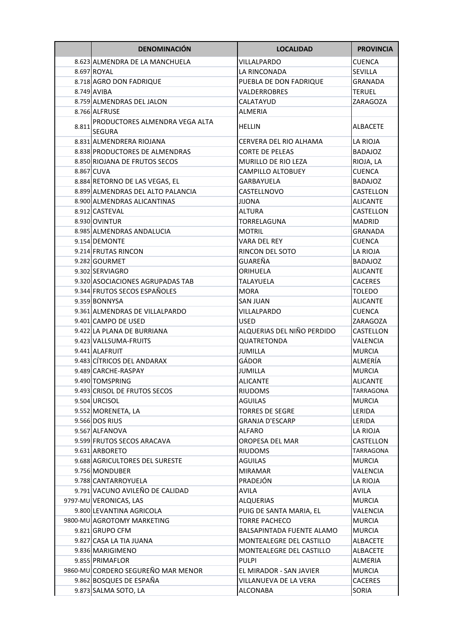|       | <b>DENOMINACIÓN</b>                | <b>LOCALIDAD</b>           | <b>PROVINCIA</b> |
|-------|------------------------------------|----------------------------|------------------|
|       | 8.623 ALMENDRA DE LA MANCHUELA     | VILLALPARDO                | CUENCA           |
|       | 8.697 ROYAL                        | LA RINCONADA               | <b>SEVILLA</b>   |
|       | 8.718 AGRO DON FADRIQUE            | PUEBLA DE DON FADRIQUE     | GRANADA          |
|       | 8.749 AVIBA                        | <b>VALDERROBRES</b>        | <b>TERUEL</b>    |
|       | 8.759 ALMENDRAS DEL JALON          | CALATAYUD                  | ZARAGOZA         |
|       | 8.766 ALFRUSE                      | ALMERIA                    |                  |
|       | PRODUCTORES ALMENDRA VEGA ALTA     |                            |                  |
| 8.811 | <b>SEGURA</b>                      | <b>HELLIN</b>              | <b>ALBACETE</b>  |
|       | 8.831 ALMENDRERA RIOJANA           | CERVERA DEL RIO ALHAMA     | LA RIOJA         |
|       | 8.838 PRODUCTORES DE ALMENDRAS     | CORTE DE PELEAS            | <b>BADAJOZ</b>   |
|       | 8.850 RIOJANA DE FRUTOS SECOS      | MURILLO DE RIO LEZA        | RIOJA, LA        |
|       | 8.867 CUVA                         | CAMPILLO ALTOBUEY          | <b>CUENCA</b>    |
|       | 8.884 RETORNO DE LAS VEGAS, EL     | <b>GARBAYUELA</b>          | <b>BADAJOZ</b>   |
|       | 8.899 ALMENDRAS DEL ALTO PALANCIA  | CASTELLNOVO                | <b>CASTELLON</b> |
|       | 8.900 ALMENDRAS ALICANTINAS        | <b>JIJONA</b>              | <b>ALICANTE</b>  |
|       | 8.912 CASTEVAL                     | <b>ALTURA</b>              | CASTELLON        |
|       | 8.930 OVINTUR                      | TORRELAGUNA                | <b>MADRID</b>    |
|       | 8.985 ALMENDRAS ANDALUCIA          | <b>MOTRIL</b>              | GRANADA          |
|       | 9.154 DEMONTE                      | <b>VARA DEL REY</b>        | <b>CUENCA</b>    |
|       | 9.214 FRUTAS RINCON                | RINCON DEL SOTO            | LA RIOJA         |
|       | 9.282 GOURMET                      | GUAREÑA                    | <b>BADAJOZ</b>   |
|       | 9.302 SERVIAGRO                    | ORIHUELA                   | ALICANTE         |
|       | 9.320 ASOCIACIONES AGRUPADAS TAB   | TALAYUELA                  | <b>CACERES</b>   |
|       | 9.344 FRUTOS SECOS ESPAÑOLES       | <b>MORA</b>                | <b>TOLEDO</b>    |
|       | 9.359 BONNYSA                      | SAN JUAN                   | <b>ALICANTE</b>  |
|       | 9.361 ALMENDRAS DE VILLALPARDO     | VILLALPARDO                | CUENCA           |
|       | 9.401 CAMPO DE USED                | USED                       | ZARAGOZA         |
|       | 9.422 LA PLANA DE BURRIANA         | ALQUERIAS DEL NIÑO PERDIDO | CASTELLON        |
|       | 9.423 VALLSUMA-FRUITS              | <b>OUATRETONDA</b>         | VALENCIA         |
|       | 9.441 ALAFRUIT                     | <b>JUMILLA</b>             | <b>MURCIA</b>    |
|       | 9.483 CÍTRICOS DEL ANDARAX         | GÁDOR                      | ALMERÍA          |
|       | 9.489 CARCHE-RASPAY                | JUMILLA                    | <b>MURCIA</b>    |
|       | 9.490 TOMSPRING                    | <b>ALICANTE</b>            | <b>ALICANTE</b>  |
|       | 9.493 CRISOL DE FRUTOS SECOS       | <b>RIUDOMS</b>             | TARRAGONA        |
|       | 9.504 URCISOL                      | <b>AGUILAS</b>             | <b>MURCIA</b>    |
|       | 9.552 MORENETA, LA                 | <b>TORRES DE SEGRE</b>     | LERIDA           |
|       | 9.566 DOS RIUS                     | <b>GRANJA D'ESCARP</b>     | LERIDA           |
|       | 9.567 ALFANOVA                     | <b>ALFARO</b>              | LA RIOJA         |
|       | 9.599 FRUTOS SECOS ARACAVA         | OROPESA DEL MAR            | CASTELLON        |
|       | 9.631 ARBORETO                     | <b>RIUDOMS</b>             | TARRAGONA        |
|       | 9.688 AGRICULTORES DEL SURESTE     | <b>AGUILAS</b>             | <b>MURCIA</b>    |
|       | 9.756 MONDUBER                     | <b>MIRAMAR</b>             | VALENCIA         |
|       | 9.788 CANTARROYUELA                | PRADEJÓN                   | LA RIOJA         |
|       | 9.791 VACUNO AVILEÑO DE CALIDAD    | <b>AVILA</b>               | <b>AVILA</b>     |
|       | 9797-MU VERONICAS, LAS             | <b>ALQUERIAS</b>           | <b>MURCIA</b>    |
|       | 9.800 LEVANTINA AGRICOLA           | PUIG DE SANTA MARIA, EL    | VALENCIA         |
|       | 9800-MU AGROTOMY MARKETING         | <b>TORRE PACHECO</b>       | <b>MURCIA</b>    |
|       | 9.821 GRUPO CFM                    | BALSAPINTADA FUENTE ALAMO  | <b>MURCIA</b>    |
|       | 9.827 CASA LA TIA JUANA            | MONTEALEGRE DEL CASTILLO   | <b>ALBACETE</b>  |
|       | 9.836 MARIGIMENO                   | MONTEALEGRE DEL CASTILLO   | <b>ALBACETE</b>  |
|       | 9.855 PRIMAFLOR                    | <b>PULPI</b>               | ALMERIA          |
|       | 9860-MU CORDERO SEGUREÑO MAR MENOR | EL MIRADOR - SAN JAVIER    | <b>MURCIA</b>    |
|       | 9.862 BOSQUES DE ESPAÑA            | VILLANUEVA DE LA VERA      | <b>CACERES</b>   |
|       | 9.873 SALMA SOTO, LA               | ALCONABA                   | SORIA            |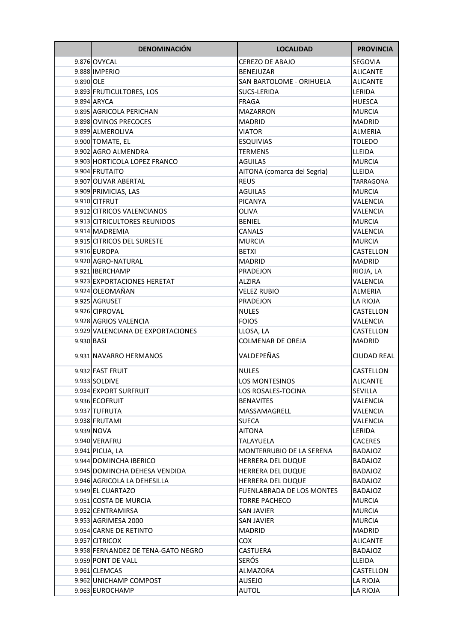|            | <b>DENOMINACIÓN</b>                | <b>LOCALIDAD</b>            | <b>PROVINCIA</b>   |
|------------|------------------------------------|-----------------------------|--------------------|
|            | 9.876 OVYCAL                       | <b>CEREZO DE ABAJO</b>      | SEGOVIA            |
|            | 9.888 IMPERIO                      | <b>BENEJUZAR</b>            | <b>ALICANTE</b>    |
| 9.890 OLE  |                                    | SAN BARTOLOME - ORIHUELA    | <b>ALICANTE</b>    |
|            | 9.893 FRUTICULTORES, LOS           | SUCS-LERIDA                 | LERIDA             |
|            | 9.894 ARYCA                        | <b>FRAGA</b>                | <b>HUESCA</b>      |
|            | 9.895 AGRICOLA PERICHAN            | <b>MAZARRON</b>             | MURCIA             |
|            | 9.898 OVINOS PRECOCES              | <b>MADRID</b>               | MADRID             |
|            | 9.899 ALMEROLIVA                   | <b>VIATOR</b>               | <b>ALMERIA</b>     |
|            | 9.900 TOMATE, EL                   | <b>ESQUIVIAS</b>            | TOLEDO             |
|            | 9.902 AGRO ALMENDRA                | <b>TERMENS</b>              | LLEIDA             |
|            | 9.903 HORTICOLA LOPEZ FRANCO       | <b>AGUILAS</b>              | MURCIA             |
|            | 9.904 FRUTAITO                     | AITONA (comarca del Segria) | LLEIDA             |
|            | 9.907 OLIVAR ABERTAL               | <b>REUS</b>                 | TARRAGONA          |
|            | 9.909 PRIMICIAS, LAS               | <b>AGUILAS</b>              | MURCIA             |
|            | 9.910 CITFRUT                      | <b>PICANYA</b>              | VALENCIA           |
|            | 9.912 CITRICOS VALENCIANOS         | OLIVA                       | VALENCIA           |
|            | 9.913 CITRICULTORES REUNIDOS       | <b>BENIEL</b>               | MURCIA             |
|            | 9.914 MADREMIA                     | CANALS                      | VALENCIA           |
|            | 9.915 CITRICOS DEL SURESTE         | <b>MURCIA</b>               | <b>MURCIA</b>      |
|            | 9.916 EUROPA                       | <b>BETXI</b>                | CASTELLON          |
|            | 9.920 AGRO-NATURAL                 | <b>MADRID</b>               | MADRID             |
|            | 9.921 IBERCHAMP                    | PRADEJON                    | RIOJA, LA          |
|            | 9.923 EXPORTACIONES HERETAT        | <b>ALZIRA</b>               | VALENCIA           |
|            | 9.924 OLEOMAÑAN                    | <b>VELEZ RUBIO</b>          | <b>ALMERIA</b>     |
|            | 9.925 AGRUSET                      | PRADEJON                    | LA RIOJA           |
|            | 9.926 CIPROVAL                     | <b>NULES</b>                | CASTELLON          |
|            | 9.928 AGRIOS VALENCIA              | <b>FOIOS</b>                | VALENCIA           |
|            | 9.929 VALENCIANA DE EXPORTACIONES  | LLOSA, LA                   | CASTELLON          |
| 9.930 BASI |                                    | <b>COLMENAR DE OREJA</b>    | MADRID             |
|            | 9.931 NAVARRO HERMANOS             | VALDEPEÑAS                  | <b>CIUDAD REAL</b> |
|            | 9.932 FAST FRUIT                   | <b>NULES</b>                | CASTELLON          |
|            | 9.933 SOLDIVE                      | <b>LOS MONTESINOS</b>       | <b>ALICANTE</b>    |
|            | 9.934 EXPORT SURFRUIT              | LOS ROSALES-TOCINA          | SEVILLA            |
|            | 9.936 ECOFRUIT                     | <b>BENAVITES</b>            | VALENCIA           |
|            | 9.937 TUFRUTA                      | MASSAMAGRELL                | VALENCIA           |
|            | 9.938 FRUTAMI                      | <b>SUECA</b>                | VALENCIA           |
|            | 9.939 NOVA                         | <b>AITONA</b>               | LERIDA             |
|            | 9.940 VERAFRU                      | TALAYUELA                   | <b>CACERES</b>     |
|            | 9.941 PICUA, LA                    | MONTERRUBIO DE LA SERENA    | BADAJOZ            |
|            | 9.944 DOMINCHA IBERICO             | HERRERA DEL DUQUE           | <b>BADAJOZ</b>     |
|            | 9.945 DOMINCHA DEHESA VENDIDA      | HERRERA DEL DUQUE           | <b>BADAJOZ</b>     |
|            | 9.946 AGRICOLA LA DEHESILLA        | HERRERA DEL DUQUE           | <b>BADAJOZ</b>     |
|            | 9.949 EL CUARTAZO                  | FUENLABRADA DE LOS MONTES   | BADAJOZ            |
|            | 9.951 COSTA DE MURCIA              | <b>TORRE PACHECO</b>        | <b>MURCIA</b>      |
|            | 9.952 CENTRAMIRSA                  | <b>SAN JAVIER</b>           | <b>MURCIA</b>      |
|            | 9.953 AGRIMESA 2000                | <b>SAN JAVIER</b>           | <b>MURCIA</b>      |
|            | 9.954 CARNE DE RETINTO             | <b>MADRID</b>               | MADRID             |
|            | 9.957 CITRICOX                     | <b>COX</b>                  | <b>ALICANTE</b>    |
|            | 9.958 FERNANDEZ DE TENA-GATO NEGRO | <b>CASTUERA</b>             | <b>BADAJOZ</b>     |
|            | 9.959 PONT DE VALL                 | <b>SERÓS</b>                | LLEIDA             |
|            | 9.961 CLEMCAS                      | ALMAZORA                    | CASTELLON          |
|            | 9.962 UNICHAMP COMPOST             | <b>AUSEJO</b>               | LA RIOJA           |
|            | 9.963 EUROCHAMP                    | AUTOL                       | LA RIOJA           |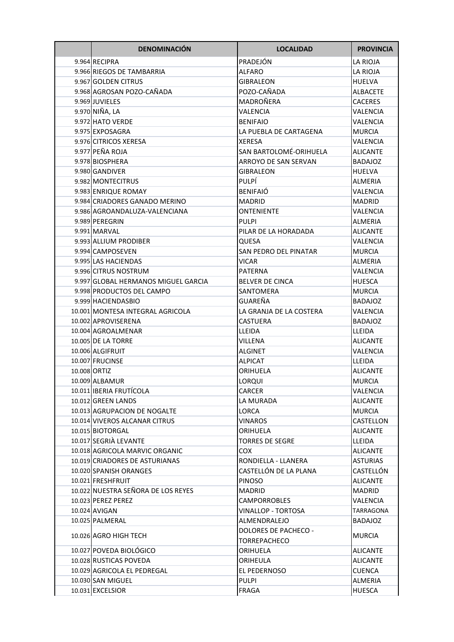| <b>DENOMINACIÓN</b>                 | <b>LOCALIDAD</b>                     | <b>PROVINCIA</b> |
|-------------------------------------|--------------------------------------|------------------|
| 9.964 RECIPRA                       | PRADEJÓN                             | LA RIOJA         |
| 9.966 RIEGOS DE TAMBARRIA           | <b>ALFARO</b>                        | LA RIOJA         |
| 9.967 GOLDEN CITRUS                 | <b>GIBRALEON</b>                     | <b>HUELVA</b>    |
| 9.968 AGROSAN POZO-CAÑADA           | POZO-CAÑADA                          | <b>ALBACETE</b>  |
| 9.969 JUVIELES                      | MADROÑERA                            | CACERES          |
| 9.970 NIÑA, LA                      | VALENCIA                             | VALENCIA         |
| 9.972 HATO VERDE                    | <b>BENIFAIO</b>                      | VALENCIA         |
| 9.975 EXPOSAGRA                     | LA PUEBLA DE CARTAGENA               | <b>MURCIA</b>    |
| 9.976 CITRICOS XERESA               | <b>XERESA</b>                        | VALENCIA         |
| 9.977 PEÑA ROJA                     | SAN BARTOLOMÉ-ORIHUELA               | ALICANTE         |
| 9.978 BIOSPHERA                     | ARROYO DE SAN SERVAN                 | <b>BADAJOZ</b>   |
| 9.980 GANDIVER                      | <b>GIBRALEON</b>                     | <b>HUELVA</b>    |
| 9.982 MONTECITRUS                   | <b>PULPÍ</b>                         | <b>ALMERIA</b>   |
| 9.983 ENRIQUE ROMAY                 | <b>BENIFAIÓ</b>                      | VALENCIA         |
| 9.984 CRIADORES GANADO MERINO       | <b>MADRID</b>                        | <b>MADRID</b>    |
| 9.986 AGROANDALUZA-VALENCIANA       | ONTENIENTE                           | VALENCIA         |
| 9.989 PEREGRIN                      | <b>PULPI</b>                         | ALMERIA          |
| 9.991 MARVAL                        | PILAR DE LA HORADADA                 | <b>ALICANTE</b>  |
| 9.993 ALLIUM PRODIBER               | QUESA                                | VALENCIA         |
| 9.994 CAMPOSEVEN                    | <b>SAN PEDRO DEL PINATAR</b>         | <b>MURCIA</b>    |
| 9.995 LAS HACIENDAS                 | <b>VICAR</b>                         | ALMERIA          |
| 9.996 CITRUS NOSTRUM                | PATERNA                              | VALENCIA         |
| 9.997 GLOBAL HERMANOS MIGUEL GARCIA | <b>BELVER DE CINCA</b>               | <b>HUESCA</b>    |
| 9.998 PRODUCTOS DEL CAMPO           | SANTOMERA                            | <b>MURCIA</b>    |
| 9.999 HACIENDASBIO                  | GUAREÑA                              | <b>BADAJOZ</b>   |
| 10.001 MONTESA INTEGRAL AGRICOLA    | LA GRANJA DE LA COSTERA              | VALENCIA         |
| 10.002 APROVISERENA                 | CASTUERA                             | <b>BADAJOZ</b>   |
| 10.004 AGROALMENAR                  | LLEIDA                               | LLEIDA           |
| 10.005 DE LA TORRE                  | VILLENA                              | <b>ALICANTE</b>  |
| 10.006 ALGIFRUIT                    | <b>ALGINET</b>                       | VALENCIA         |
| 10.007 FRUCINSE                     | <b>ALPICAT</b>                       | LLEIDA           |
| 10.008 ORTIZ                        | ORIHUELA                             | <b>ALICANTE</b>  |
| 10.009 ALBAMUR                      | <b>LORQUI</b>                        | <b>MURCIA</b>    |
| 10.011 IBERIA FRUTÍCOLA             | CARCER                               | VALENCIA         |
| 10.012 GREEN LANDS                  | LA MURADA                            | <b>ALICANTE</b>  |
| 10.013 AGRUPACION DE NOGALTE        | LORCA                                | <b>MURCIA</b>    |
| 10.014 VIVEROS ALCANAR CITRUS       | <b>VINAROS</b>                       | CASTELLON        |
| 10.015 BIOTORGAL                    | ORIHUELA                             | <b>ALICANTE</b>  |
| 10.017 SEGRIÀ LEVANTE               | <b>TORRES DE SEGRE</b>               | LLEIDA           |
| 10.018 AGRICOLA MARVIC ORGANIC      | COX                                  | <b>ALICANTE</b>  |
| 10.019 CRIADORES DE ASTURIANAS      | RONDIELLA - LLANERA                  | <b>ASTURIAS</b>  |
| 10.020 SPANISH ORANGES              | CASTELLÓN DE LA PLANA                | CASTELLÓN        |
| 10.021 FRESHFRUIT                   | <b>PINOSO</b>                        | <b>ALICANTE</b>  |
| 10.022 NUESTRA SEÑORA DE LOS REYES  | <b>MADRID</b>                        | <b>MADRID</b>    |
| 10.023 PEREZ PEREZ                  | <b>CAMPORROBLES</b>                  | VALENCIA         |
| 10.024 AVIGAN                       | <b>VINALLOP - TORTOSA</b>            | TARRAGONA        |
| 10.025 PALMERAL                     | ALMENDRALEJO                         | <b>BADAJOZ</b>   |
| 10.026 AGRO HIGH TECH               | DOLORES DE PACHECO -<br>TORREPACHECO | <b>MURCIA</b>    |
| 10.027 POVEDA BIOLÓGICO             | ORIHUELA                             | <b>ALICANTE</b>  |
| 10.028 RUSTICAS POVEDA              | ORIHEULA                             | <b>ALICANTE</b>  |
| 10.029 AGRICOLA EL PEDREGAL         | EL PEDERNOSO                         | <b>CUENCA</b>    |
| 10.030 SAN MIGUEL                   | <b>PULPI</b>                         | ALMERIA          |
| 10.031 EXCELSIOR                    | FRAGA                                | <b>HUESCA</b>    |
|                                     |                                      |                  |